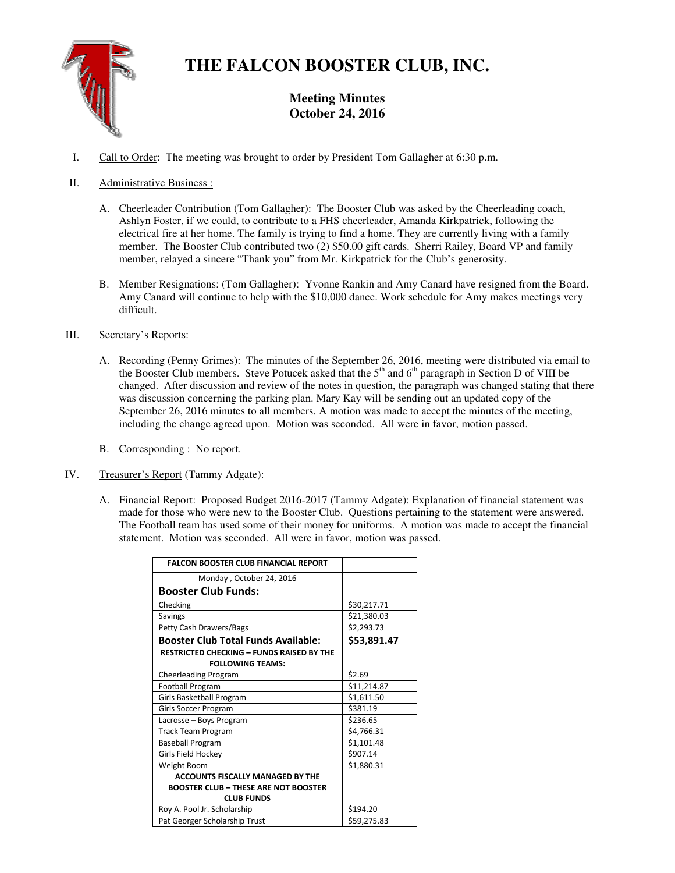

# **THE FALCON BOOSTER CLUB, INC.**

**Meeting Minutes October 24, 2016** 

I. Call to Order: The meeting was brought to order by President Tom Gallagher at 6:30 p.m.

# II. Administrative Business :

- A. Cheerleader Contribution (Tom Gallagher): The Booster Club was asked by the Cheerleading coach, Ashlyn Foster, if we could, to contribute to a FHS cheerleader, Amanda Kirkpatrick, following the electrical fire at her home. The family is trying to find a home. They are currently living with a family member. The Booster Club contributed two (2) \$50.00 gift cards. Sherri Railey, Board VP and family member, relayed a sincere "Thank you" from Mr. Kirkpatrick for the Club's generosity.
- B. Member Resignations: (Tom Gallagher): Yvonne Rankin and Amy Canard have resigned from the Board. Amy Canard will continue to help with the \$10,000 dance. Work schedule for Amy makes meetings very difficult.

# III. Secretary's Reports:

- A. Recording (Penny Grimes): The minutes of the September 26, 2016, meeting were distributed via email to the Booster Club members. Steve Potucek asked that the 5<sup>th</sup> and 6<sup>th</sup> paragraph in Section D of VIII be changed. After discussion and review of the notes in question, the paragraph was changed stating that there was discussion concerning the parking plan. Mary Kay will be sending out an updated copy of the September 26, 2016 minutes to all members. A motion was made to accept the minutes of the meeting, including the change agreed upon. Motion was seconded. All were in favor, motion passed.
- B. Corresponding : No report.
- IV. Treasurer's Report (Tammy Adgate):
	- A. Financial Report: Proposed Budget 2016-2017 (Tammy Adgate): Explanation of financial statement was made for those who were new to the Booster Club. Questions pertaining to the statement were answered. The Football team has used some of their money for uniforms. A motion was made to accept the financial statement. Motion was seconded. All were in favor, motion was passed.

| <b>FALCON BOOSTER CLUB FINANCIAL REPORT</b>      |             |
|--------------------------------------------------|-------------|
| Monday, October 24, 2016                         |             |
| <b>Booster Club Funds:</b>                       |             |
| Checking                                         | \$30,217.71 |
| Savings                                          | \$21,380.03 |
| Petty Cash Drawers/Bags                          | \$2,293.73  |
| <b>Booster Club Total Funds Available:</b>       | \$53,891.47 |
| <b>RESTRICTED CHECKING - FUNDS RAISED BY THE</b> |             |
| <b>FOLLOWING TEAMS:</b>                          |             |
| <b>Cheerleading Program</b>                      | \$2.69      |
| <b>Football Program</b>                          | \$11,214.87 |
| Girls Basketball Program                         | \$1,611.50  |
| Girls Soccer Program                             | \$381.19    |
| Lacrosse - Boys Program                          | \$236.65    |
| <b>Track Team Program</b>                        | \$4,766.31  |
| <b>Baseball Program</b>                          | \$1,101.48  |
| Girls Field Hockey                               | \$907.14    |
| Weight Room                                      | \$1,880.31  |
| <b>ACCOUNTS FISCALLY MANAGED BY THE</b>          |             |
| <b>BOOSTER CLUB - THESE ARE NOT BOOSTER</b>      |             |
| <b>CLUB FUNDS</b>                                |             |
| Roy A. Pool Jr. Scholarship                      | \$194.20    |
| Pat Georger Scholarship Trust                    | \$59,275.83 |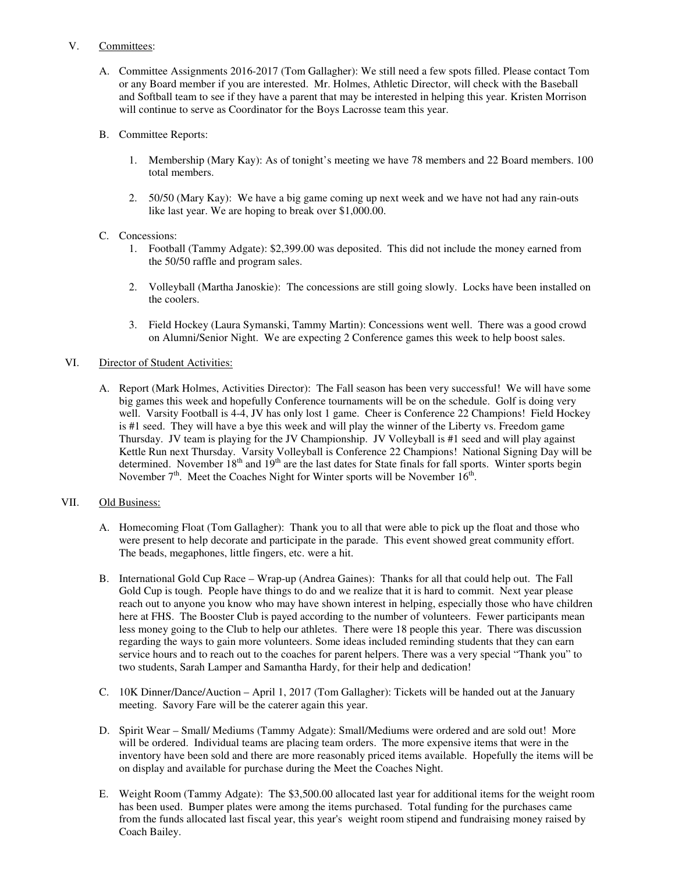### V. Committees:

- A. Committee Assignments 2016-2017 (Tom Gallagher): We still need a few spots filled. Please contact Tom or any Board member if you are interested. Mr. Holmes, Athletic Director, will check with the Baseball and Softball team to see if they have a parent that may be interested in helping this year. Kristen Morrison will continue to serve as Coordinator for the Boys Lacrosse team this year.
- B. Committee Reports:
	- 1. Membership (Mary Kay): As of tonight's meeting we have 78 members and 22 Board members. 100 total members.
	- 2. 50/50 (Mary Kay): We have a big game coming up next week and we have not had any rain-outs like last year. We are hoping to break over \$1,000.00.
- C. Concessions:
	- 1. Football (Tammy Adgate): \$2,399.00 was deposited. This did not include the money earned from the 50/50 raffle and program sales.
	- 2. Volleyball (Martha Janoskie): The concessions are still going slowly. Locks have been installed on the coolers.
	- 3. Field Hockey (Laura Symanski, Tammy Martin): Concessions went well. There was a good crowd on Alumni/Senior Night. We are expecting 2 Conference games this week to help boost sales.

### VI. Director of Student Activities:

A. Report (Mark Holmes, Activities Director): The Fall season has been very successful! We will have some big games this week and hopefully Conference tournaments will be on the schedule. Golf is doing very well. Varsity Football is 4-4, JV has only lost 1 game. Cheer is Conference 22 Champions! Field Hockey is #1 seed. They will have a bye this week and will play the winner of the Liberty vs. Freedom game Thursday. JV team is playing for the JV Championship. JV Volleyball is #1 seed and will play against Kettle Run next Thursday. Varsity Volleyball is Conference 22 Champions! National Signing Day will be determined. November  $18<sup>th</sup>$  and  $19<sup>th</sup>$  are the last dates for State finals for fall sports. Winter sports begin November  $7<sup>th</sup>$ . Meet the Coaches Night for Winter sports will be November  $16<sup>th</sup>$ .

### VII. Old Business:

- A. Homecoming Float (Tom Gallagher): Thank you to all that were able to pick up the float and those who were present to help decorate and participate in the parade. This event showed great community effort. The beads, megaphones, little fingers, etc. were a hit.
- B. International Gold Cup Race Wrap-up (Andrea Gaines): Thanks for all that could help out. The Fall Gold Cup is tough. People have things to do and we realize that it is hard to commit. Next year please reach out to anyone you know who may have shown interest in helping, especially those who have children here at FHS. The Booster Club is payed according to the number of volunteers. Fewer participants mean less money going to the Club to help our athletes. There were 18 people this year. There was discussion regarding the ways to gain more volunteers. Some ideas included reminding students that they can earn service hours and to reach out to the coaches for parent helpers. There was a very special "Thank you" to two students, Sarah Lamper and Samantha Hardy, for their help and dedication!
- C. 10K Dinner/Dance/Auction April 1, 2017 (Tom Gallagher): Tickets will be handed out at the January meeting. Savory Fare will be the caterer again this year.
- D. Spirit Wear Small/ Mediums (Tammy Adgate): Small/Mediums were ordered and are sold out! More will be ordered. Individual teams are placing team orders. The more expensive items that were in the inventory have been sold and there are more reasonably priced items available. Hopefully the items will be on display and available for purchase during the Meet the Coaches Night.
- E. Weight Room (Tammy Adgate): The \$3,500.00 allocated last year for additional items for the weight room has been used. Bumper plates were among the items purchased. Total funding for the purchases came from the funds allocated last fiscal year, this year's weight room stipend and fundraising money raised by Coach Bailey.